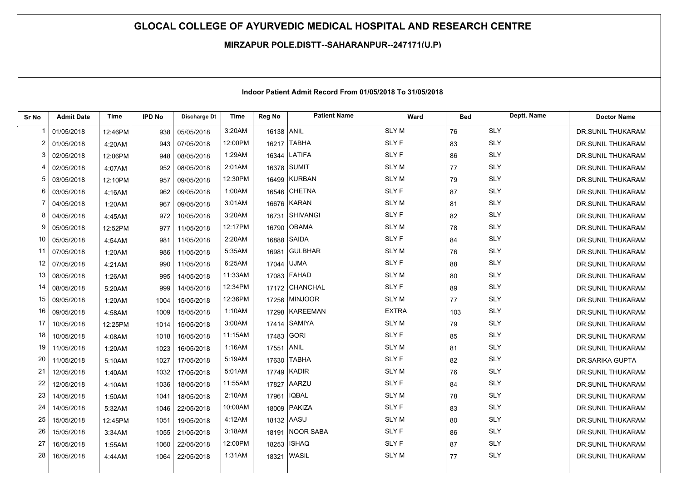## **GLOCAL COLLEGE OF AYURVEDIC MEDICAL HOSPITAL AND RESEARCH CENTRE**

## **MIRZAPUR POLE,DISTT--SAHARANPUR--247171(U.P)**

| Sr No          | <b>Admit Date</b> | <b>Time</b> | <b>IPD No</b> | <b>Discharge Dt</b> | Time    | Reg No     | <b>Patient Name</b> | Ward         | <b>Bed</b> | Deptt. Name | <b>Doctor Name</b> |
|----------------|-------------------|-------------|---------------|---------------------|---------|------------|---------------------|--------------|------------|-------------|--------------------|
| -1             | 01/05/2018        | 12:46PM     | 938           | 05/05/2018          | 3:20AM  | 16138 ANIL |                     | <b>SLYM</b>  | 76         | <b>SLY</b>  | DR.SUNIL THUKARAM  |
| $\overline{2}$ | 01/05/2018        | 4:20AM      | 943           | 07/05/2018          | 12:00PM |            | 16217 TABHA         | <b>SLYF</b>  | 83         | SLY         | DR.SUNIL THUKARAM  |
| 3              | 02/05/2018        | 12:06PM     | 948           | 08/05/2018          | 1:29AM  |            | 16344 LATIFA        | <b>SLYF</b>  | 86         | SLY         | DR.SUNIL THUKARAM  |
| 4              | 02/05/2018        | 4:07AM      | 952           | 08/05/2018          | 2:01AM  |            | 16378 SUMIT         | <b>SLYM</b>  | 77         | <b>SLY</b>  | DR.SUNIL THUKARAM  |
| 5              | 03/05/2018        | 12:10PM     | 957           | 09/05/2018          | 12:30PM |            | 16499 KURBAN        | <b>SLYM</b>  | 79         | <b>SLY</b>  | DR.SUNIL THUKARAM  |
| 6              | 03/05/2018        | 4:16AM      | 962           | 09/05/2018          | 1:00AM  |            | 16546 CHETNA        | <b>SLYF</b>  | 87         | <b>SLY</b>  | DR.SUNIL THUKARAM  |
| 7              | 04/05/2018        | 1:20AM      | 967           | 09/05/2018          | 3:01AM  |            | 16676 KARAN         | <b>SLY M</b> | 81         | <b>SLY</b>  | DR.SUNIL THUKARAM  |
| 8              | 04/05/2018        | 4:45AM      | 972           | 10/05/2018          | 3:20AM  |            | 16731 SHIVANGI      | <b>SLYF</b>  | 82         | <b>SLY</b>  | DR.SUNIL THUKARAM  |
| 9              | 05/05/2018        | 12:52PM     | 977           | 11/05/2018          | 12:17PM |            | 16790 OBAMA         | <b>SLYM</b>  | 78         | <b>SLY</b>  | DR.SUNIL THUKARAM  |
| 10             | 05/05/2018        | 4:54AM      | 981           | 11/05/2018          | 2:20AM  |            | 16888 SAIDA         | <b>SLYF</b>  | 84         | <b>SLY</b>  | DR.SUNIL THUKARAM  |
| 11             | 07/05/2018        | 1:20AM      | 986           | 11/05/2018          | 5:35AM  |            | 16981 GULBHAR       | <b>SLYM</b>  | 76         | <b>SLY</b>  | DR.SUNIL THUKARAM  |
| 12             | 07/05/2018        | 4:21AM      | 990           | 11/05/2018          | 6:25AM  | 17044 UJMA |                     | <b>SLYF</b>  | 88         | <b>SLY</b>  | DR.SUNIL THUKARAM  |
| 13             | 08/05/2018        | 1:26AM      | 995           | 14/05/2018          | 11:33AM |            | 17083 FAHAD         | <b>SLYM</b>  | 80         | <b>SLY</b>  | DR.SUNIL THUKARAM  |
| 14             | 08/05/2018        | 5:20AM      | 999           | 14/05/2018          | 12:34PM |            | 17172 CHANCHAL      | <b>SLYF</b>  | 89         | <b>SLY</b>  | DR.SUNIL THUKARAM  |
| 15             | 09/05/2018        | 1:20AM      | 1004          | 15/05/2018          | 12:36PM |            | 17256 MINJOOR       | <b>SLYM</b>  | 77         | <b>SLY</b>  | DR.SUNIL THUKARAM  |
| 16             | 09/05/2018        | 4:58AM      | 1009          | 15/05/2018          | 1:10AM  |            | 17298 KAREEMAN      | <b>EXTRA</b> | 103        | <b>SLY</b>  | DR.SUNIL THUKARAM  |
| 17             | 10/05/2018        | 12:25PM     | 1014          | 15/05/2018          | 3:00AM  |            | 17414 SAMIYA        | <b>SLYM</b>  | 79         | <b>SLY</b>  | DR.SUNIL THUKARAM  |
| 18             | 10/05/2018        | 4:08AM      | 1018          | 16/05/2018          | 11:15AM | 17483 GORI |                     | <b>SLYF</b>  | 85         | <b>SLY</b>  | DR.SUNIL THUKARAM  |
| 19             | 11/05/2018        | 1:20AM      | 1023          | 16/05/2018          | 1:16AM  | 17551 ANIL |                     | <b>SLYM</b>  | 81         | <b>SLY</b>  | DR.SUNIL THUKARAM  |
| 20             | 11/05/2018        | 5:10AM      | 1027          | 17/05/2018          | 5:19AM  |            | 17630 TABHA         | <b>SLYF</b>  | 82         | <b>SLY</b>  | DR.SARIKA GUPTA    |
| 21             | 12/05/2018        | 1:40AM      | 1032          | 17/05/2018          | 5:01AM  |            | 17749 KADIR         | <b>SLYM</b>  | 76         | <b>SLY</b>  | DR.SUNIL THUKARAM  |
| 22             | 12/05/2018        | 4:10AM      | 1036          | 18/05/2018          | 11:55AM |            | 17827 AARZU         | <b>SLYF</b>  | 84         | <b>SLY</b>  | DR.SUNIL THUKARAM  |
| 23             | 14/05/2018        | 1:50AM      | 1041          | 18/05/2018          | 2:10AM  |            | 17961   IQBAL       | <b>SLYM</b>  | 78         | <b>SLY</b>  | DR.SUNIL THUKARAM  |
| 24             | 14/05/2018        | 5:32AM      | 1046          | 22/05/2018          | 10:00AM |            | 18009 PAKIZA        | <b>SLYF</b>  | 83         | <b>SLY</b>  | DR.SUNIL THUKARAM  |
| 25             | 15/05/2018        | 12:45PM     | 1051          | 19/05/2018          | 4:12AM  | 18132 AASU |                     | <b>SLYM</b>  | 80         | <b>SLY</b>  | DR.SUNIL THUKARAM  |
| 26             | 15/05/2018        | 3:34AM      | 1055          | 21/05/2018          | 3:18AM  |            | 18191 NOOR SABA     | <b>SLYF</b>  | 86         | <b>SLY</b>  | DR.SUNIL THUKARAM  |
| 27             | 16/05/2018        | 1:55AM      | 1060          | 22/05/2018          | 12:00PM |            | 18253 ISHAQ         | <b>SLYF</b>  | 87         | <b>SLY</b>  | DR.SUNIL THUKARAM  |
| 28             | 16/05/2018        | 4:44AM      | 1064          | 22/05/2018          | 1:31AM  |            | 18321 WASIL         | <b>SLYM</b>  | 77         | <b>SLY</b>  | DR.SUNIL THUKARAM  |